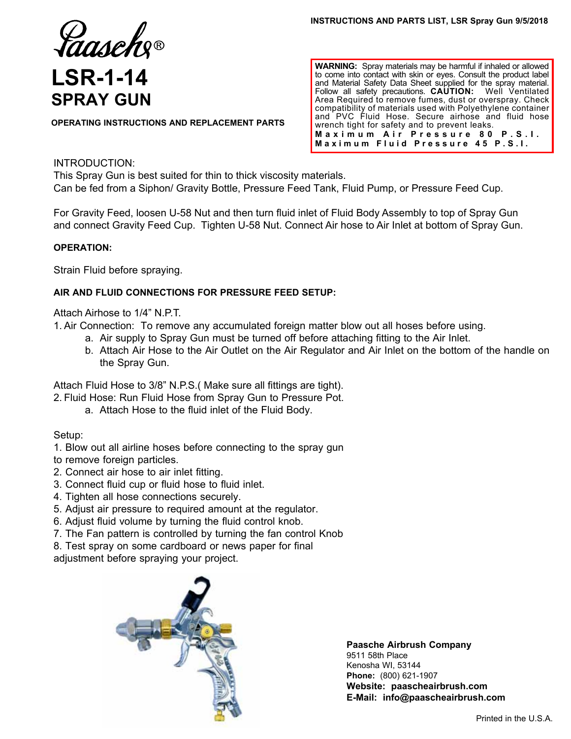Taaseh

# **LSR-1-14 SPRAY GUN**

**OPERATING INSTRUCTIONS AND REPLACEMENT PARTS**

**WARNING:** Spray materials may be harmful if inhaled or allowed to come into contact with skin or eyes. Consult the product label and Material Safety Data Sheet supplied for the spray material. Follow all safety precautions. **CAUTION:** Well Ventilated Area Required to remove fumes, dust or overspray. Check compatibility of materials used with Polyethylene container and PVC Fluid Hose. Secure airhose and fluid hose wrench tight for safety and to prevent leaks. **Maximum Air Pressure 80 P.S.I. Maximum Fluid Pressure 45 P.S.I.**

### INTRODUCTION:

This Spray Gun is best suited for thin to thick viscosity materials. Can be fed from a Siphon/ Gravity Bottle, Pressure Feed Tank, Fluid Pump, or Pressure Feed Cup.

For Gravity Feed, loosen U-58 Nut and then turn fluid inlet of Fluid Body Assembly to top of Spray Gun and connect Gravity Feed Cup. Tighten U-58 Nut. Connect Air hose to Air Inlet at bottom of Spray Gun.

#### **OPERATION:**

Strain Fluid before spraying.

#### **AIR AND FLUID CONNECTIONS FOR PRESSURE FEED SETUP:**

Attach Airhose to 1/4" N.P.T.

1. Air Connection: To remove any accumulated foreign matter blow out all hoses before using.

- a. Air supply to Spray Gun must be turned off before attaching fitting to the Air Inlet.
- b. Attach Air Hose to the Air Outlet on the Air Regulator and Air Inlet on the bottom of the handle on the Spray Gun.

Attach Fluid Hose to 3/8" N.P.S.( Make sure all fittings are tight). 2. Fluid Hose: Run Fluid Hose from Spray Gun to Pressure Pot.

a. Attach Hose to the fluid inlet of the Fluid Body.

Setup:

1. Blow out all airline hoses before connecting to the spray gun

- to remove foreign particles.
- 2. Connect air hose to air inlet fitting.
- 3. Connect fluid cup or fluid hose to fluid inlet.
- 4. Tighten all hose connections securely.
- 5. Adjust air pressure to required amount at the regulator.
- 6. Adjust fluid volume by turning the fluid control knob.
- 7. The Fan pattern is controlled by turning the fan control Knob
- 8. Test spray on some cardboard or news paper for final

adjustment before spraying your project.



**Paasche Airbrush Company** 9511 58th Place Kenosha WI, 53144 **Phone:** (800) 621-1907 **Website: paascheairbrush.com E-Mail: info@paascheairbrush.com**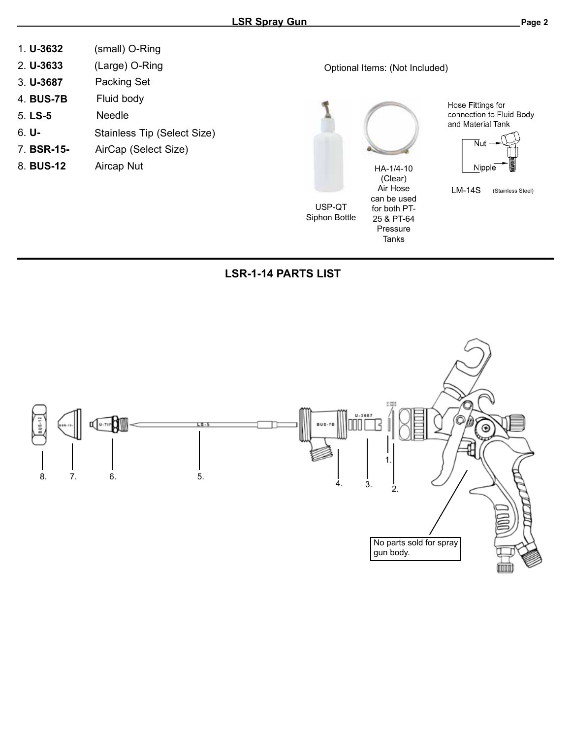| (small) O-Ring |
|----------------|
|                |

- 2. **U-3633** (Large) O-Ring
- 3. **U-3687** Packing Set
- 4. **BUS-7B** Fluid body
- 5. **LS-5** Needle
- 6. **U-** Stainless Tip (Select Size)
- 7. **BSR-15-** AirCap (Select Size)
- 8. **BUS-12**





**Tanks** 

Hose Fittings for connection to Fluid Body and Material Tank



LM-14S (Stainless Steel)

## **LSR-1-14 PARTS LIST**